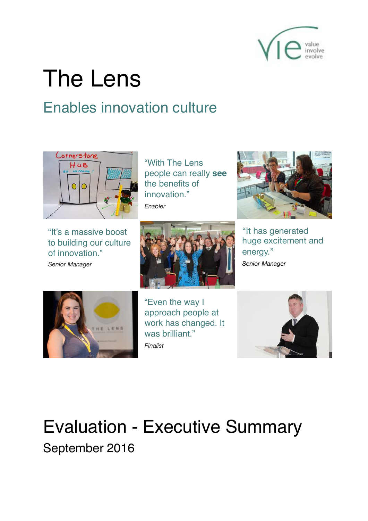

# The Lens

# Enables innovation culture



"With The Lens people can really **see** the benefits of innovation<sup>"</sup> *Enabler*

"It's a massive boost to building our culture of innovation." *Senior Manager*





"It has generated huge excitement and energy." *Senior Manager*



"Even the way I approach people at work has changed. It was brilliant." *Finalist*



# Evaluation - Executive Summary September 2016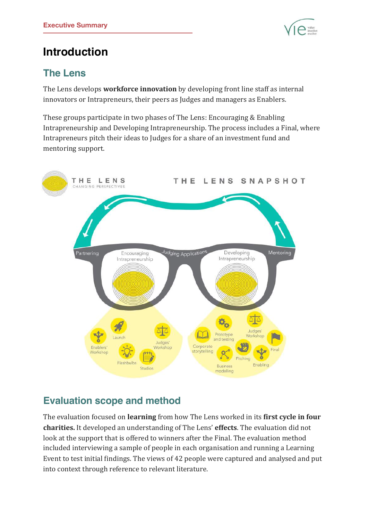

# **Introduction**

### **The Lens**

The Lens develops **workforce innovation** by developing front line staff as internal innovators or Intrapreneurs, their peers as Judges and managers as Enablers.

These groups participate in two phases of The Lens: Encouraging & Enabling Intrapreneurship and Developing Intrapreneurship. The process includes a Final, where Intrapreneurs pitch their ideas to Judges for a share of an investment fund and mentoring support.



### **Evaluation scope and method**

The evaluation focused on *learning* from how The Lens worked in its first cycle in four **charities.** It developed an understanding of The Lens' **effects**. The evaluation did not look at the support that is offered to winners after the Final. The evaluation method included interviewing a sample of people in each organisation and running a Learning Event to test initial findings. The views of 42 people were captured and analysed and put into context through reference to relevant literature.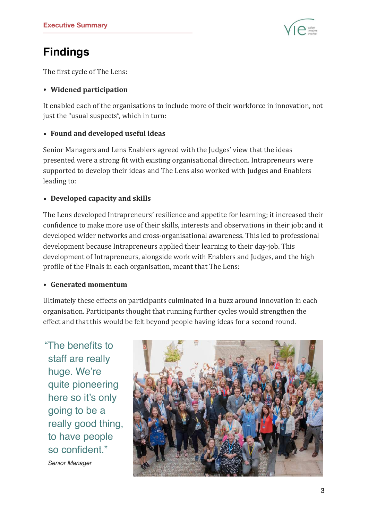

## **Findings**

The first cycle of The Lens:

#### **• Widened participation**

It enabled each of the organisations to include more of their workforce in innovation, not just the "usual suspects", which in turn:

#### **• Found and developed useful ideas**

Senior Managers and Lens Enablers agreed with the Judges' view that the ideas presented were a strong fit with existing organisational direction. Intrapreneurs were supported to develop their ideas and The Lens also worked with Judges and Enablers leading to:

#### **• Developed capacity and skills**

The Lens developed Intrapreneurs' resilience and appetite for learning; it increased their confidence to make more use of their skills, interests and observations in their job; and it developed wider networks and cross-organisational awareness. This led to professional development because Intrapreneurs applied their learning to their day-job. This development of Intrapreneurs, alongside work with Enablers and Judges, and the high profile of the Finals in each organisation, meant that The Lens:

#### **• Generated momentum**

Ultimately these effects on participants culminated in a buzz around innovation in each organisation. Participants thought that running further cycles would strengthen the effect and that this would be felt beyond people having ideas for a second round.

"The benefits to staff are really huge. We're quite pioneering here so it's only going to be a really good thing, to have people so confident."

*Senior Manager* 

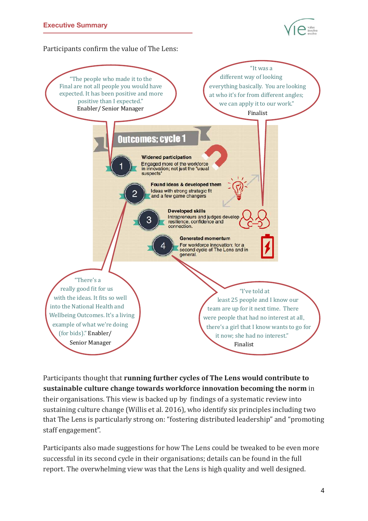

Participants confirm the value of The Lens:



Participants thought that **running further cycles of The Lens would contribute to sustainable culture change towards workforce innovation becoming the norm** in their organisations. This view is backed up by findings of a systematic review into sustaining culture change (Willis et al. 2016), who identify six principles including two that The Lens is particularly strong on: "fostering distributed leadership" and "promoting staff engagement".

Participants also made suggestions for how The Lens could be tweaked to be even more successful in its second cycle in their organisations; details can be found in the full report. The overwhelming view was that the Lens is high quality and well designed.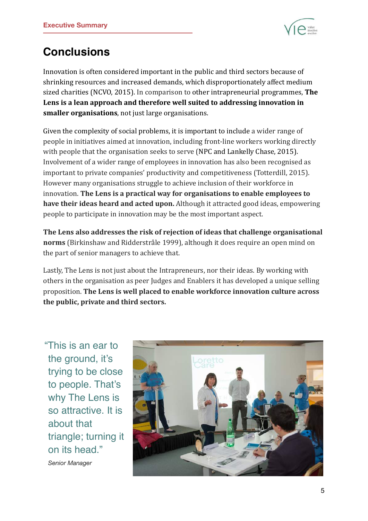

# **Conclusions**

Innovation is often considered important in the public and third sectors because of shrinking resources and increased demands, which disproportionately affect medium sized charities (NCVO, 2015). In comparison to other intrapreneurial programmes, **The** Lens is a lean approach and therefore well suited to addressing innovation in **smaller organisations**, not just large organisations.

Given the complexity of social problems, it is important to include a wider range of people in initiatives aimed at innovation, including front-line workers working directly with people that the organisation seeks to serve (NPC and Lankelly Chase, 2015). Involvement of a wider range of employees in innovation has also been recognised as important to private companies' productivity and competitiveness (Totterdill, 2015). However many organisations struggle to achieve inclusion of their workforce in innovation. The Lens is a practical way for organisations to enable employees to **have their ideas heard and acted upon.** Although it attracted good ideas, empowering people to participate in innovation may be the most important aspect.

The Lens also addresses the risk of rejection of ideas that challenge organisational **norms** (Birkinshaw and Ridderstråle 1999), although it does require an open mind on the part of senior managers to achieve that.

Lastly, The Lens is not just about the Intrapreneurs, nor their ideas. By working with others in the organisation as peer Judges and Enablers it has developed a unique selling proposition. The Lens is well placed to enable workforce innovation culture across **the public, private and third sectors.** 

"This is an ear to the ground, it's trying to be close to people. That's why The Lens is so attractive. It is about that triangle; turning it on its head."

*Senior Manager*